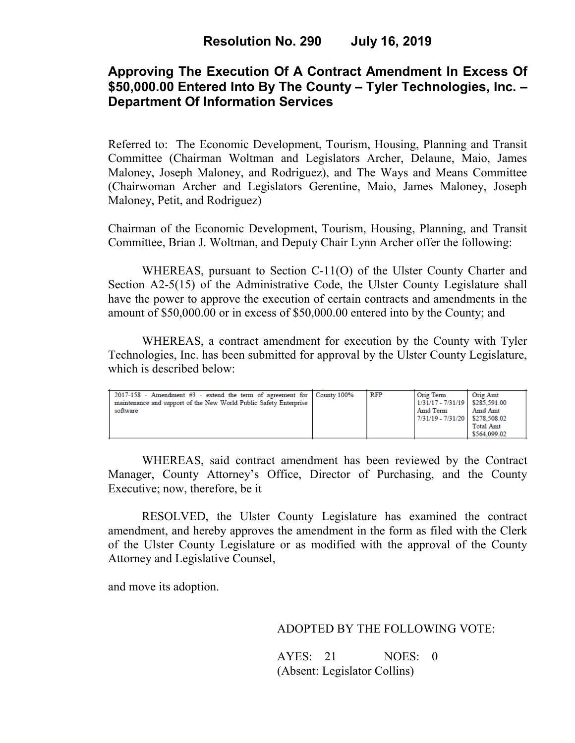# **Approving The Execution Of A Contract Amendment In Excess Of \$50,000.00 Entered Into By The County – Tyler Technologies, Inc. – Department Of Information Services**

Referred to: The Economic Development, Tourism, Housing, Planning and Transit Committee (Chairman Woltman and Legislators Archer, Delaune, Maio, James Maloney, Joseph Maloney, and Rodriguez), and The Ways and Means Committee (Chairwoman Archer and Legislators Gerentine, Maio, James Maloney, Joseph Maloney, Petit, and Rodriguez)

Chairman of the Economic Development, Tourism, Housing, Planning, and Transit Committee, Brian J. Woltman, and Deputy Chair Lynn Archer offer the following:

WHEREAS, pursuant to Section C-11(O) of the Ulster County Charter and Section A2-5(15) of the Administrative Code, the Ulster County Legislature shall have the power to approve the execution of certain contracts and amendments in the amount of \$50,000.00 or in excess of \$50,000.00 entered into by the County; and

WHEREAS, a contract amendment for execution by the County with Tyler Technologies, Inc. has been submitted for approval by the Ulster County Legislature, which is described below:

| $2017-158$ - Amendment #3 - extend the term of agreement for County 100%<br>maintenance and support of the New World Public Safety Enterprise<br>software |  | <b>RFP</b> | Orig Term<br>1/31/17 - 7/31/19   \$285.591.00<br>Amd Term<br>7/31/19 - 7/31/20   \$278.508.02 | Orig Amt<br>Amd Amt<br><b>Total Amt</b><br>\$564,099.02 |
|-----------------------------------------------------------------------------------------------------------------------------------------------------------|--|------------|-----------------------------------------------------------------------------------------------|---------------------------------------------------------|
|-----------------------------------------------------------------------------------------------------------------------------------------------------------|--|------------|-----------------------------------------------------------------------------------------------|---------------------------------------------------------|

WHEREAS, said contract amendment has been reviewed by the Contract Manager, County Attorney's Office, Director of Purchasing, and the County Executive; now, therefore, be it

RESOLVED, the Ulster County Legislature has examined the contract amendment, and hereby approves the amendment in the form as filed with the Clerk of the Ulster County Legislature or as modified with the approval of the County Attorney and Legislative Counsel,

and move its adoption.

### ADOPTED BY THE FOLLOWING VOTE:

AYES: 21 NOES: 0 (Absent: Legislator Collins)